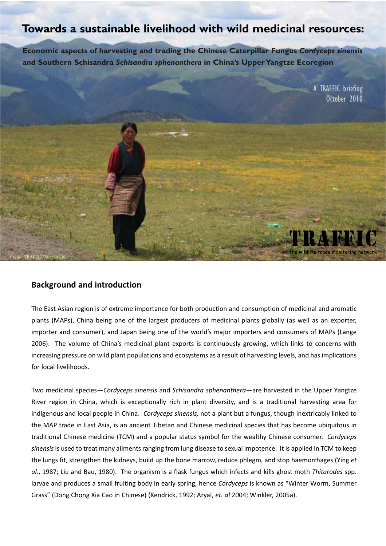# **Towards a sustainable livelihood with wild medicinal resources:**

**Economic aspects of harvesting and trading the Chinese Caterpillar Fungus** *Cordyceps sinensis* **and Southern Schisandra** *Schisandra sphenanthera* **in China's Upper Yangtze Ecoregion**

A TRAFFIC briefing<br>October 2010 wildlife trade monitoring networl *Credit*: TRAFFIC/Xueyan Liu

## **Background and introduction**

The East Asian region is of extreme importance for both production and consumption of medicinal and aromatic plants (MAPs), China being one of the largest producers of medicinal plants globally (as well as an exporter, importer and consumer), and Japan being one of the world's major importers and consumers of MAPs (Lange 2006). The volume of China's medicinal plant exports is continuously growing, which links to concerns with increasing pressure on wild plant populations and ecosystems as a result of harvesting levels, and has implications for local livelihoods.

Two medicinal species—*Cordyceps sinensis* and *Schisandra sphenanthera*—are harvested in the Upper Yangtze River region in China, which is exceptionally rich in plant diversity, and is a traditional harvesting area for indigenous and local people in China. *Cordyceps sinensis,* not a plant but a fungus, though inextricably linked to the MAP trade in East Asia, is an ancient Tibetan and Chinese medicinal species that has become ubiquitous in traditional Chinese medicine (TCM) and a popular status symbol for the wealthy Chinese consumer. *Cordyceps sinensis* is used to treat many ailments ranging from lung disease to sexual impotence. It is applied in TCM to keep the lungs fit, strengthen the kidneys, build up the bone marrow, reduce phlegm, and stop haemorrhages (Ying *et al.*, 1987; Liu and Bau, 1980). The organism is a flask fungus which infects and kills ghost moth *Thitarodes* spp. larvae and produces a small fruiting body in early spring, hence *Cordyceps* is known as "Winter Worm, Summer Grass" (Dong Chong Xia Cao in Chinese) (Kendrick, 1992; Aryal, *et. al* 2004; Winkler, 2005a).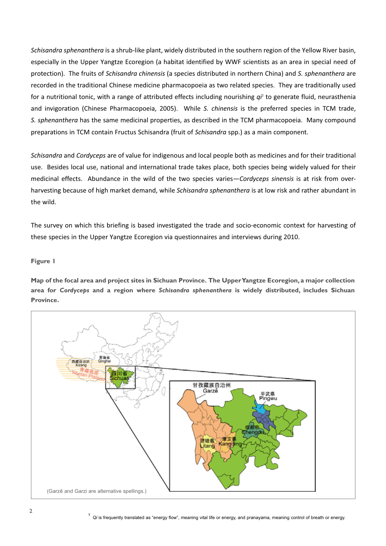*Schisandra sphenanthera* is a shrub-like plant, widely distributed in the southern region of the Yellow River basin, especially in the Upper Yangtze Ecoregion (a habitat identified by WWF scientists as an area in special need of protection). The fruits of *Schisandra chinensis* (a species distributed in northern China) and *S. sphenanthera* are recorded in the traditional Chinese medicine pharmacopoeia as two related species. They are traditionally used for a nutritional tonic, with a range of attributed effects including nourishing *qi1* to generate fluid, neurasthenia and invigoration (Chinese Pharmacopoeia, 2005). While *S. chinensis* is the preferred species in TCM trade, *S. sphenanthera* has the same medicinal properties, as described in the TCM pharmacopoeia. Many compound preparations in TCM contain Fructus Schisandra (fruit of *Schisandra* spp.) as a main component.

*Schisandra* and *Cordyceps* are of value for indigenous and local people both as medicines and for their traditional use. Besides local use, national and international trade takes place, both species being widely valued for their medicinal effects. Abundance in the wild of the two species varies—*Cordyceps sinensis* is at risk from overharvesting because of high market demand, while *Schisandra sphenanthera* is at low risk and rather abundant in the wild.

The survey on which this briefing is based investigated the trade and socio-economic context for harvesting of these species in the Upper Yangtze Ecoregion via questionnaires and interviews during 2010.

#### **Figure 1**

**Map of the focal area and project sites in Sichuan Province. The Upper Yangtze Ecoregion, a major collection area for** *Cordyceps* **and a region where** *Schisandra sphenanthera* **is widely distributed, includes Sichuan Province.**

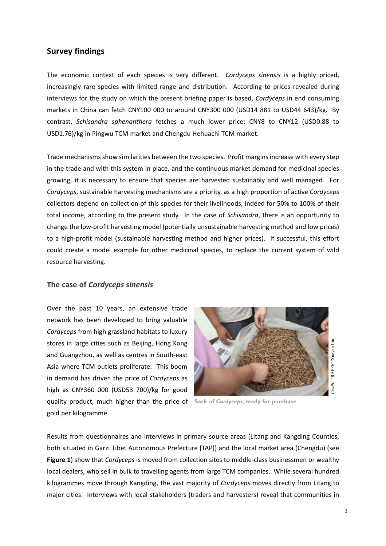## **Survey findings**

The economic context of each species is very different. *Cordyceps sinensis* is a highly priced, increasingly rare species with limited range and distribution. According to prices revealed during interviews for the study on which the present briefing paper is based, *Cordyceps* in end consuming markets in China can fetch CNY100 000 to around CNY300 000 (USD14 881 to USD44 643)/kg. By contrast, *Schisandra sphenanthera* fetches a much lower price: CNY8 to CNY12 (USD0.88 to USD1.76)/kg in Pingwu TCM market and Chengdu Hehuachi TCM market.

Trade mechanisms show similarities between the two species. Profit margins increase with every step in the trade and with this system in place, and the continuous market demand for medicinal species growing, it is necessary to ensure that species are harvested sustainably and well managed. For *Cordyceps*, sustainable harvesting mechanisms are a priority, as a high proportion of active *Cordyceps* collectors depend on collection of this species for their livelihoods, indeed for 50% to 100% of their total income, according to the present study. In the case of *Schisandra*, there is an opportunity to change the low-profit harvesting model (potentially unsustainable harvesting method and low prices) to a high-profit model (sustainable harvesting method and higher prices). If successful, this effort could create a model example for other medicinal species, to replace the current system of wild resource harvesting.

#### **The case of** *Cordyceps sinensis*

Over the past 10 years, an extensive trade network has been developed to bring valuable *Cordyceps* from high grassland habitats to luxury stores in large cities such as Beijing, Hong Kong and Guangzhou, as well as centres in South-east Asia where TCM outlets proliferate. This boom in demand has driven the price of *Cordyceps* as high as CNY360 000 (USD53 700)/kg for good quality product, much higher than the price of **Sack of** *Cordyceps***, ready for purchase** gold per kilogramme.



Results from questionnaires and interviews in primary source areas (Litang and Kangding Counties, both situated in Garzi Tibet Autonomous Prefecture [TAP]) and the local market area (Chengdu) (see **Figure 1**) show that *Cordyceps* is moved from collection sites to middle-class businessmen or wealthy local dealers, who sell in bulk to travelling agents from large TCM companies. While several hundred kilogrammes move through Kangding, the vast majority of *Cordyceps* moves directly from Litang to major cities. Interviews with local stakeholders (traders and harvesters) reveal that communities in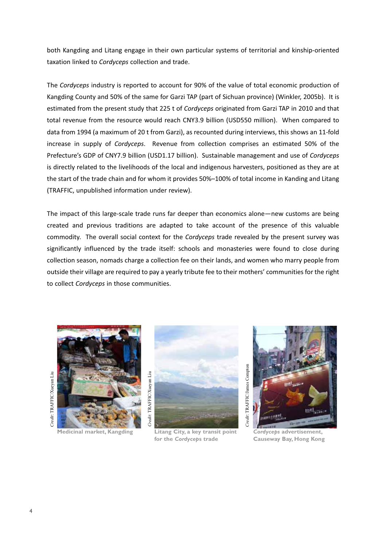both Kangding and Litang engage in their own particular systems of territorial and kinship-oriented taxation linked to *Cordyceps* collection and trade.

The *Cordyceps* industry is reported to account for 90% of the value of total economic production of Kangding County and 50% of the same for Garzi TAP (part of Sichuan province) (Winkler, 2005b). It is estimated from the present study that 225 t of *Cordyceps* originated from Garzi TAP in 2010 and that total revenue from the resource would reach CNY3.9 billion (USD550 million). When compared to data from 1994 (a maximum of 20 t from Garzi), as recounted during interviews, this shows an 11-fold increase in supply of *Cordyceps*. Revenue from collection comprises an estimated 50% of the Prefecture's GDP of CNY7.9 billion (USD1.17 billion). Sustainable management and use of *Cordyceps* is directly related to the livelihoods of the local and indigenous harvesters, positioned as they are at the start of the trade chain and for whom it provides 50%–100% of total income in Kanding and Litang (TRAFFIC, unpublished information under review).

The impact of this large-scale trade runs far deeper than economics alone—new customs are being created and previous traditions are adapted to take account of the presence of this valuable commodity. The overall social context for the *Cordyceps* trade revealed by the present survey was significantly influenced by the trade itself: schools and monasteries were found to close during collection season, nomads charge a collection fee on their lands, and women who marry people from outside their village are required to pay a yearly tribute fee to their mothers' communities for the right to collect *Cordyceps* in those communities.



**Medicinal market, Kangding**



**Litang City, a key transit point for the** *Cordycep***s trade**



*Cordyceps* **advertisement, Causeway Bay, Hong Kong**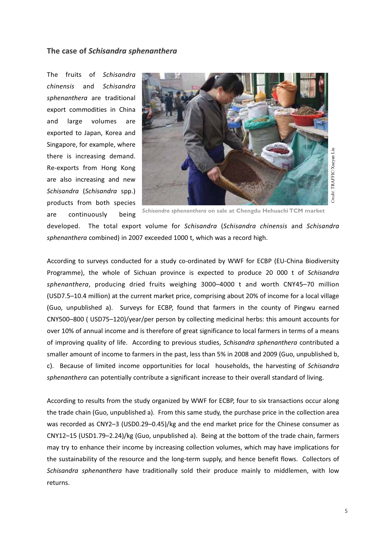#### **The case of** *Schisandra sphenanthera*

The fruits of *Schisandra chinensis* and *Schisandra sphenanthera* are traditional export commodities in China and large volumes are exported to Japan, Korea and Singapore, for example, where there is increasing demand. Re-exports from Hong Kong are also increasing and new *Schisandra* (*Schisandra* spp.) products from both species are continuously being



*Schisandra sphenanthera* **on sale at Chengdu Hehuachi TCM market**

developed. The total export volume for *Schisandra* (*Schisandra chinensis* and *Schisandra sphenanthera* combined) in 2007 exceeded 1000 t, which was a record high.

According to surveys conducted for a study co-ordinated by WWF for ECBP (EU-China Biodiversity Programme), the whole of Sichuan province is expected to produce 20 000 t of *Schisandra sphenanthera*, producing dried fruits weighing 3000–4000 t and worth CNY45–70 million (USD7.5–10.4 million) at the current market price, comprising about 20% of income for a local village (Guo, unpublished a). Surveys for ECBP, found that farmers in the county of Pingwu earned CNY500–800 ( USD75–120)/year/per person by collecting medicinal herbs: this amount accounts for over 10% of annual income and is therefore of great significance to local farmers in terms of a means of improving quality of life. According to previous studies, *Schisandra sphenanthera* contributed a smaller amount of income to farmers in the past, less than 5% in 2008 and 2009 (Guo, unpublished b, c). Because of limited income opportunities for local households, the harvesting of *Schisandra sphenanthera* can potentially contribute a significant increase to their overall standard of living.

According to results from the study organized by WWF for ECBP, four to six transactions occur along the trade chain (Guo, unpublished a). From this same study, the purchase price in the collection area was recorded as CNY2–3 (USD0.29–0.45)/kg and the end market price for the Chinese consumer as CNY12–15 (USD1.79–2.24)/kg (Guo, unpublished a). Being at the bottom of the trade chain, farmers may try to enhance their income by increasing collection volumes, which may have implications for the sustainability of the resource and the long-term supply, and hence benefit flows. Collectors of *Schisandra sphenanthera* have traditionally sold their produce mainly to middlemen, with low returns.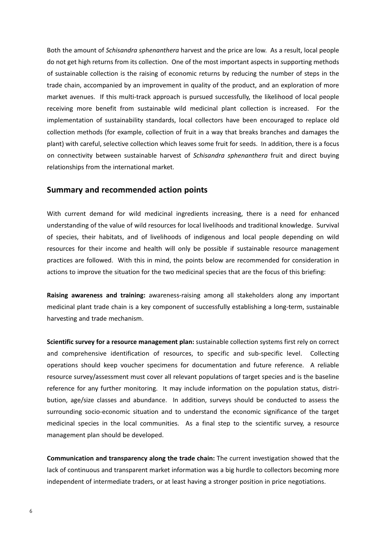Both the amount of *Schisandra sphenanthera* harvest and the price are low. As a result, local people do not get high returns from its collection. One of the most important aspects in supporting methods of sustainable collection is the raising of economic returns by reducing the number of steps in the trade chain, accompanied by an improvement in quality of the product, and an exploration of more market avenues. If this multi-track approach is pursued successfully, the likelihood of local people receiving more benefit from sustainable wild medicinal plant collection is increased. For the implementation of sustainability standards, local collectors have been encouraged to replace old collection methods (for example, collection of fruit in a way that breaks branches and damages the plant) with careful, selective collection which leaves some fruit for seeds. In addition, there is a focus on connectivity between sustainable harvest of *Schisandra sphenanthera* fruit and direct buying relationships from the international market.

### **Summary and recommended action points**

With current demand for wild medicinal ingredients increasing, there is a need for enhanced understanding of the value of wild resources for local livelihoods and traditional knowledge. Survival of species, their habitats, and of livelihoods of indigenous and local people depending on wild resources for their income and health will only be possible if sustainable resource management practices are followed. With this in mind, the points below are recommended for consideration in actions to improve the situation for the two medicinal species that are the focus of this briefing:

**Raising awareness and training:** awareness-raising among all stakeholders along any important medicinal plant trade chain is a key component of successfully establishing a long-term, sustainable harvesting and trade mechanism.

**Scientific survey for a resource management plan:** sustainable collection systems first rely on correct and comprehensive identification of resources, to specific and sub-specific level. Collecting operations should keep voucher specimens for documentation and future reference. A reliable resource survey/assessment must cover all relevant populations of target species and is the baseline reference for any further monitoring. It may include information on the population status, distribution, age/size classes and abundance. In addition, surveys should be conducted to assess the surrounding socio-economic situation and to understand the economic significance of the target medicinal species in the local communities. As a final step to the scientific survey, a resource management plan should be developed.

**Communication and transparency along the trade chain:** The current investigation showed that the lack of continuous and transparent market information was a big hurdle to collectors becoming more independent of intermediate traders, or at least having a stronger position in price negotiations.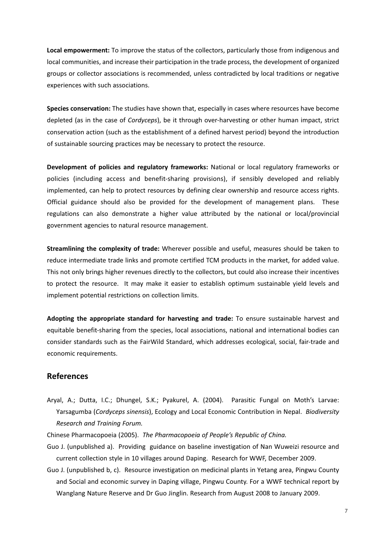**Local empowerment:** To improve the status of the collectors, particularly those from indigenous and local communities, and increase their participation in the trade process, the development of organized groups or collector associations is recommended, unless contradicted by local traditions or negative experiences with such associations.

**Species conservation:** The studies have shown that, especially in cases where resources have become depleted (as in the case of *Cordyceps*), be it through over-harvesting or other human impact, strict conservation action (such as the establishment of a defined harvest period) beyond the introduction of sustainable sourcing practices may be necessary to protect the resource.

**Development of policies and regulatory frameworks:** National or local regulatory frameworks or policies (including access and benefit-sharing provisions), if sensibly developed and reliably implemented, can help to protect resources by defining clear ownership and resource access rights. Official guidance should also be provided for the development of management plans. These regulations can also demonstrate a higher value attributed by the national or local/provincial government agencies to natural resource management.

**Streamlining the complexity of trade:** Wherever possible and useful, measures should be taken to reduce intermediate trade links and promote certified TCM products in the market, for added value. This not only brings higher revenues directly to the collectors, but could also increase their incentives to protect the resource. It may make it easier to establish optimum sustainable yield levels and implement potential restrictions on collection limits.

**Adopting the appropriate standard for harvesting and trade:** To ensure sustainable harvest and equitable benefit-sharing from the species, local associations, national and international bodies can consider standards such as the FairWild Standard, which addresses ecological, social, fair-trade and economic requirements.

## **References**

- Aryal, A.; Dutta, I.C.; Dhungel, S.K.; Pyakurel, A. (2004). Parasitic Fungal on Moth's Larvae: Yarsagumba (*Cordyceps sinensis*), Ecology and Local Economic Contribution in Nepal. *Biodiversity Research and Training Forum.*
- Chinese Pharmacopoeia (2005). *The Pharmacopoeia of People's Republic of China.*
- Guo J. (unpublished a). Providing guidance on baseline investigation of Nan Wuweizi resource and current collection style in 10 villages around Daping. Research for WWF, December 2009.
- Guo J. (unpublished b, c). Resource investigation on medicinal plants in Yetang area, Pingwu County and Social and economic survey in Daping village, Pingwu County. For a WWF technical report by Wanglang Nature Reserve and Dr Guo Jinglin. Research from August 2008 to January 2009.